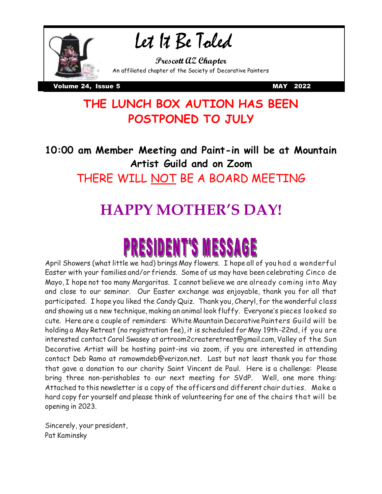

## Let It Be Toled

**Prescott AZ Chapter** An affiliated chapter of the Society of Decorative Painters

Volume 24, Issue 5 MAY 2022

### **THE LUNCH BOX AUTION HAS BEEN POSTPONED TO JULY**

**10:00 am Member Meeting and Paint-in will be at Mountain Artist Guild and on Zoom** THERE WILL NOT BE A BOARD MEETING

## **HAPPY MOTHER'S DAY!**

# **PRESIDENT'S MESSA**

April Showers (what little we had) brings May flowers. I hope all of you had a wonderful Easter with your families and/or friends. Some of us may have been celebrating Cinco de Mayo, I hope not too many Margaritas. I cannot believe we are already coming into May and close to our seminar. Our Easter exchange was enjoyable, thank you for all that participated. I hope you liked the Candy Quiz. Thank you, Cheryl, for the wonderful class and showing us a new technique, making an animal look fluffy. Everyone's pieces looked so cute. Here are a couple of reminders: White Mountain Decorative Painters Guild will be holding a May Retreat (no registration fee), it is scheduled for May 19th-22nd, if you are interested contact Carol Swasey at artroom2createretreat@gmail.com, Valley of the Sun Decorative Artist will be hosting paint-ins via zoom, if you are interested in attending contact Deb Ramo at ramowmdeb@verizon.net. Last but not least thank you for those that gave a donation to our charity Saint Vincent de Paul. Here is a challenge: Please bring three non-perishables to our next meeting for SVdP. Well, one more thing: Attached to this newsletter is a copy of the officers and different chair duties. Make a hard copy for yourself and please think of volunteering for one of the chairs that will be opening in 2023.

Sincerely, your president, Pat Kaminsky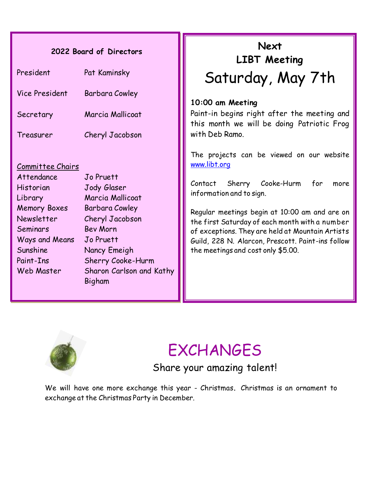#### **2022 Board of Directors**

| President      | Pat Kaminsky     |
|----------------|------------------|
| Vice President | Barbara Cowley   |
| Secretary      | Marcia Mallicoat |
| Treasurer      | Cheryl Jacobson  |
|                |                  |

#### Committee Chairs

Attendance Jo Pruett Historian Jody Glaser Library Marcia Mallicoat Memory Boxes Barbara Cowley Newsletter Cheryl Jacobson Seminars Bev Morn Ways and Means Jo Pruett Sunshine Nancy Emeigh Paint-Ins Sherry Cooke-Hurm Web Master Sharon Carlson and Kathy Bigham

## Saturday, May 7th **Next LIBT Meeting**

#### **10:00 am Meeting**

Paint-in begins right after the meeting and this month we will be doing Patriotic Frog with Deb Ramo.

The projects can be viewed on our website [www.libt.org](http://www.libt.org/)

Contact Sherry Cooke-Hurm for more information and to sign.

Regular meetings begin at 10:00 am and are on the first Saturday of each month with a number of exceptions. They are held at Mountain Artists Guild, 228 N. Alarcon, Prescott. Paint-ins follow the meetings and cost only \$5.00.



## EXCHANGES

Share your amazing talent!

We will have one more exchange this year - Christmas**.** Christmas is an ornament to exchange at the Christmas Party in December.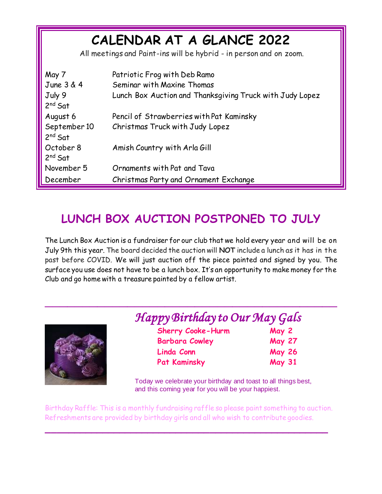| CALENDAR AT A GLANCE 2022<br>All meetings and Paint-ins will be hybrid - in person and on zoom. |                                                          |  |
|-------------------------------------------------------------------------------------------------|----------------------------------------------------------|--|
| May 7                                                                                           | Patriotic Frog with Deb Ramo                             |  |
| June 3 & 4                                                                                      | Seminar with Maxine Thomas                               |  |
| July 9                                                                                          | Lunch Box Auction and Thanksgiving Truck with Judy Lopez |  |
| $2nd$ Sat                                                                                       |                                                          |  |
| August 6                                                                                        | Pencil of Strawberries with Pat Kaminsky                 |  |
| September 10<br>$2nd$ Sat                                                                       | Christmas Truck with Judy Lopez                          |  |
| October 8<br>$2nd$ Sat                                                                          | Amish Country with Arla Gill                             |  |
| November 5                                                                                      | Ornaments with Pat and Tava                              |  |
| December                                                                                        | Christmas Party and Ornament Exchange                    |  |

### **LUNCH BOX AUCTION POSTPONED TO JULY**

The Lunch Box Auction is a fundraiser for our club that we hold every year and will be on July 9th this year. The board decided the auction will **NOT** include a lunch as it has in the past before COVID. We will just auction off the piece painted and signed by you. The surface you use does not have to be a lunch box. It's an opportunity to make money for the Club and go home with a treasure painted by a fellow artist.

*\_\_\_\_\_\_\_\_\_\_\_\_\_\_\_\_\_\_\_\_\_\_\_\_\_\_\_\_\_\_\_\_\_\_\_\_\_\_\_*



### *Happy Birthday to Our May Gals*

| <b>Sherry Cooke-Hurm</b> | May 2         |
|--------------------------|---------------|
| <b>Barbara Cowley</b>    | <b>May 27</b> |
| Linda Conn               | <b>May 26</b> |
| <b>Pat Kaminsky</b>      | <b>May 31</b> |

Today we celebrate your birthday and toast to all things best, and this coming year for you will be your happiest.

Birthday Raffle: This is a monthly fundraising raffle so please paint something to auction. Refreshments are provided by birthday girls and all who wish to contribute goodies.

*\_\_\_\_\_\_\_\_\_\_\_\_\_\_\_\_\_\_\_\_\_\_\_\_\_\_\_\_\_\_\_\_\_\_\_\_\_\_\_\_\_\_\_\_\_\_\_\_\_\_*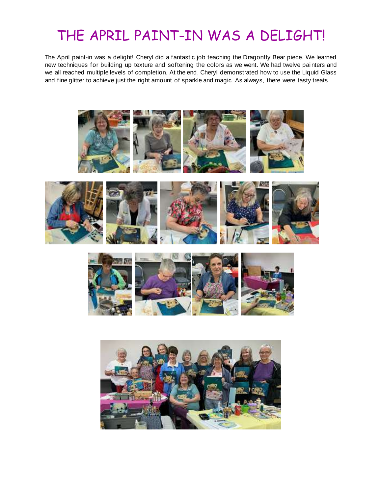## THE APRIL PAINT-IN WAS A DELIGHT!

The April paint-in was a delight! Cheryl did a fantastic job teaching the Dragonfly Bear piece. We learned new techniques for building up texture and softening the colors as we went. We had twelve painters and we all reached multiple levels of completion. At the end, Cheryl demonstrated how to use the Liquid Glass and fine glitter to achieve just the right amount of sparkle and magic. As always, there were tasty treats .



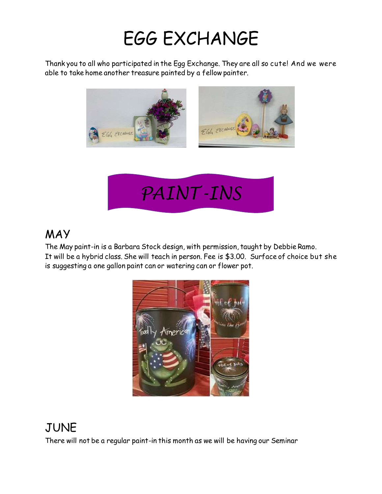## EGG EXCHANGE

Thank you to all who participated in the Egg Exchange. They are all so cute! And we were able to take home another treasure painted by a fellow painter.





#### MAY

The May paint-in is a Barbara Stock design, with permission, taught by Debbie Ramo. It will be a hybrid class. She will teach in person. Fee is \$3.00. Surface of choice but she If where a hydrid class: one when cash in personal conduction.<br>*Is suggesting a one gallon paint can or watering can or flower pot.* 



### JUNE

There will not be a regular paint-in this month as we will be having our Seminar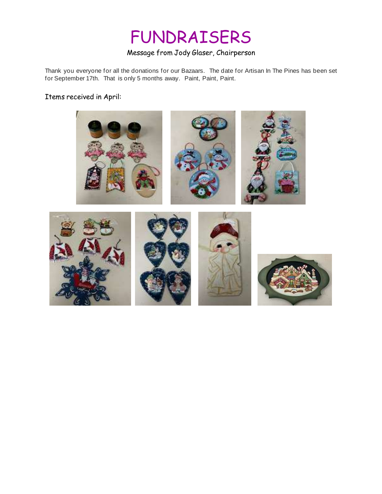## FUNDRAISERS

#### Message from Jody Glaser, Chairperson

Thank you everyone for all the donations for our Bazaars. The date for Artisan In The Pines has been set for September 17th. That is only 5 months away. Paint, Paint, Paint.

#### Items received in April:

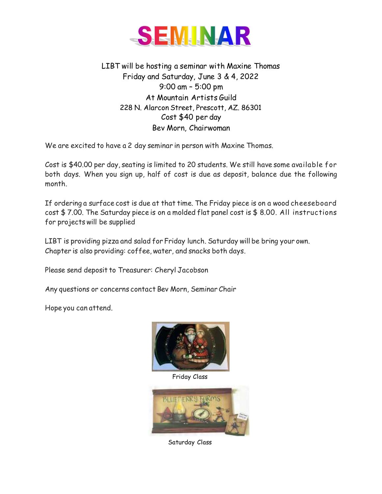

LIBT will be hosting a seminar with Maxine Thomas Friday and Saturday, June 3 & 4, 2022 9:00 am – 5:00 pm At Mountain Artists Guild 228 N. Alarcon Street, Prescott, AZ. 86301 Cost \$40 per day Bev Morn, Chairwoman

We are excited to have a 2 day seminar in person with Maxine Thomas.

Cost is \$40.00 per day, seating is limited to 20 students. We still have some available for both days. When you sign up, half of cost is due as deposit, balance due the following month.

If ordering a surface cost is due at that time. The Friday piece is on a wood cheeseboard cost \$ 7.00. The Saturday piece is on a molded flat panel cost is \$ 8.00. All instructions for projects will be supplied

LIBT is providing pizza and salad for Friday lunch. Saturday will be bring your own. Chapter is also providing: coffee, water, and snacks both days.

Please send deposit to Treasurer: Cheryl Jacobson

Any questions or concerns contact Bev Morn, Seminar Chair

Hope you can attend.



Friday Class



Saturday Class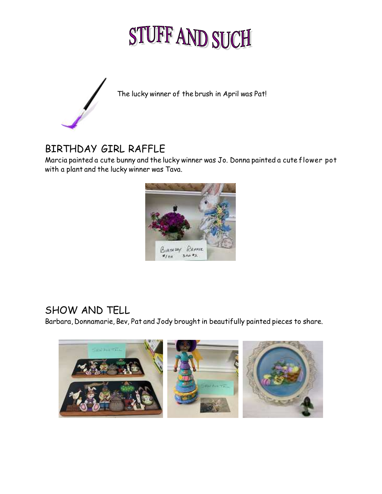# STUFF AND SUCH



The lucky winner of the brush in April was Pat!

#### BIRTHDAY GIRL RAFFLE

Marcia painted a cute bunny and the lucky winner was Jo. Donna painted a cute flower pot with a plant and the lucky winner was Tava.



#### SHOW AND TELL

Barbara, Donnamarie, Bev, Pat and Jody brought in beautifully painted pieces to share.

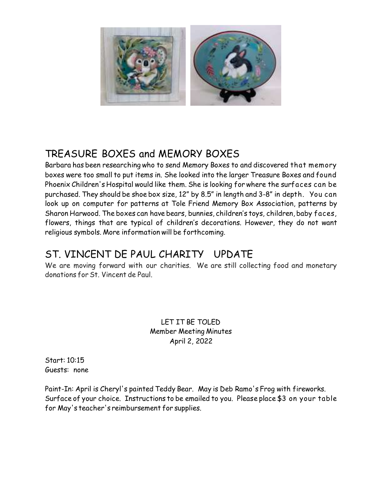

#### TREASURE BOXES and MEMORY BOXES

Barbara has been researching who to send Memory Boxes to and discovered that memory boxes were too small to put items in. She looked into the larger Treasure Boxes and found Phoenix Children's Hospital would like them. She is looking for where the surfaces can be purchased. They should be shoe box size, 12" by 8.5" in length and 3-8" in depth. You can look up on computer for patterns at Tole Friend Memory Box Association, patterns by Sharon Harwood. The boxes can have bears, bunnies, children's toys, children, baby faces, flowers, things that are typical of children's decorations. However, they do not want religious symbols. More information will be forthcoming.

#### ST. VINCENT DE PAUL CHARITY UPDATE

We are moving forward with our charities. We are still collecting food and monetary donations for St. Vincent de Paul.

> LET IT BE TOLED Member Meeting Minutes April 2, 2022

Start: 10:15 Guests: none

Paint-In: April is Cheryl's painted Teddy Bear. May is Deb Ramo's Frog with fireworks. Surface of your choice. Instructions to be emailed to you. Please place \$3 on your table for May's teacher's reimbursement for supplies.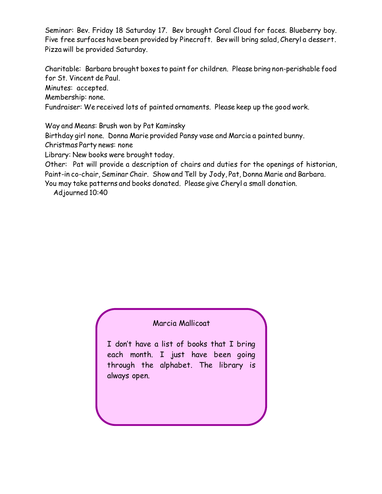Seminar: Bev. Friday 18 Saturday 17. Bev brought Coral Cloud for faces. Blueberry boy. Five free surfaces have been provided by Pinecraft. Bev will bring salad, Cheryl a dessert. Pizza will be provided Saturday.

Charitable: Barbara brought boxes to paint for children. Please bring non-perishable food for St. Vincent de Paul.

Minutes: accepted.

Membership: none.

Fundraiser: We received lots of painted ornaments. Please keep up the good work.

Way and Means: Brush won by Pat Kaminsky

Birthday girl none. Donna Marie provided Pansy vase and Marcia a painted bunny.

Christmas Party news: none

Library: New books were brought today.

Other: Pat will provide a description of chairs and duties for the openings of historian, Paint-in co-chair, Seminar Chair. Show and Tell by Jody, Pat, Donna Marie and Barbara.

You may take patterns and books donated. Please give Cheryl a small donation.

Adjourned 10:40

#### Marcia Mallicoat

I don't have a list of books that I bring each month. I just have been going through the alphabet. The library is always open.